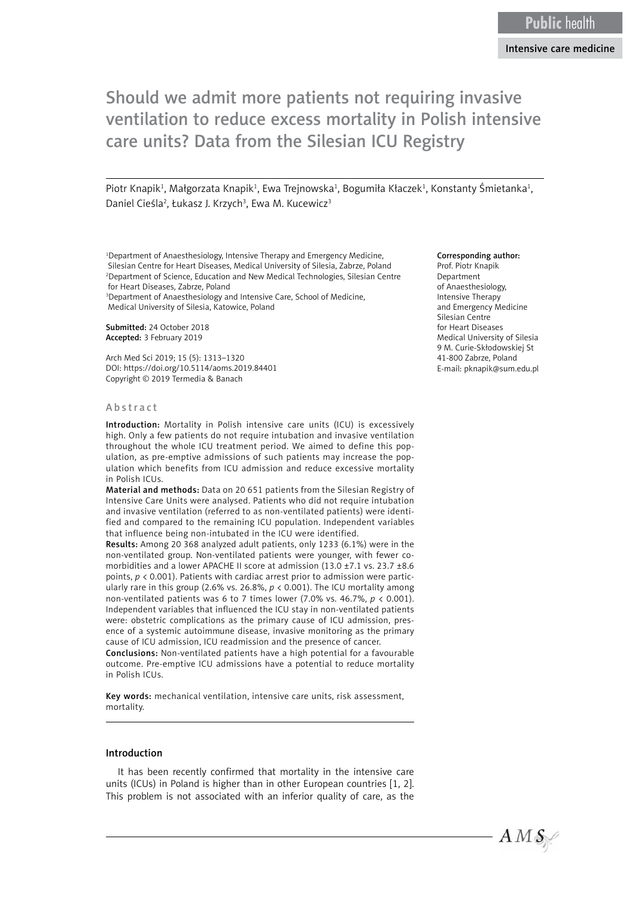# Should we admit more patients not requiring invasive ventilation to reduce excess mortality in Polish intensive care units? Data from the Silesian ICU Registry

Piotr Knapik<sup>1</sup>, Małgorzata Knapik<sup>1</sup>, Ewa Trejnowska<sup>1</sup>, Bogumiła Kłaczek<sup>1</sup>, Konstanty Śmietanka<sup>1</sup>, Daniel Cieśla<sup>2</sup>, Łukasz J. Krzych<sup>3</sup>, Ewa M. Kucewicz<sup>3</sup>

1 Department of Anaesthesiology, Intensive Therapy and Emergency Medicine, Silesian Centre for Heart Diseases, Medical University of Silesia, Zabrze, Poland 2 Department of Science, Education and New Medical Technologies, Silesian Centre for Heart Diseases, Zabrze, Poland

<sup>3</sup>Department of Anaesthesiology and Intensive Care, School of Medicine, Medical University of Silesia, Katowice, Poland

Submitted: 24 October 2018 Accepted: 3 February 2019

Arch Med Sci 2019; 15 (5): 1313–1320 DOI: https://doi.org/10.5114/aoms.2019.84401 Copyright © 2019 Termedia & Banach

#### Abstract

Introduction: Mortality in Polish intensive care units (ICU) is excessively high. Only a few patients do not require intubation and invasive ventilation throughout the whole ICU treatment period. We aimed to define this population, as pre-emptive admissions of such patients may increase the population which benefits from ICU admission and reduce excessive mortality in Polish ICUs.

Material and methods: Data on 20 651 patients from the Silesian Registry of Intensive Care Units were analysed. Patients who did not require intubation and invasive ventilation (referred to as non-ventilated patients) were identified and compared to the remaining ICU population. Independent variables that influence being non-intubated in the ICU were identified.

Results: Among 20 368 analyzed adult patients, only 1233 (6.1%) were in the non-ventilated group. Non-ventilated patients were younger, with fewer comorbidities and a lower APACHE II score at admission (13.0 ±7.1 vs. 23.7 ±8.6 points, *p* < 0.001). Patients with cardiac arrest prior to admission were particularly rare in this group (2.6% vs. 26.8%,  $p < 0.001$ ). The ICU mortality among non-ventilated patients was 6 to 7 times lower (7.0% vs. 46.7%, *p* < 0.001). Independent variables that influenced the ICU stay in non-ventilated patients were: obstetric complications as the primary cause of ICU admission, presence of a systemic autoimmune disease, invasive monitoring as the primary cause of ICU admission, ICU readmission and the presence of cancer.

Conclusions: Non-ventilated patients have a high potential for a favourable outcome. Pre-emptive ICU admissions have a potential to reduce mortality in Polish ICUs.

Key words: mechanical ventilation, intensive care units, risk assessment, mortality.

### Introduction

It has been recently confirmed that mortality in the intensive care units (ICUs) in Poland is higher than in other European countries [1, 2]. This problem is not associated with an inferior quality of care, as the

#### Corresponding author:

Prof. Piotr Knapik Department of Anaesthesiology, Intensive Therapy and Emergency Medicine Silesian Centre for Heart Diseases Medical University of Silesia 9 M. Curie-Skłodowskiej St 41-800 Zabrze, Poland E-mail: pknapik@sum.edu.pl

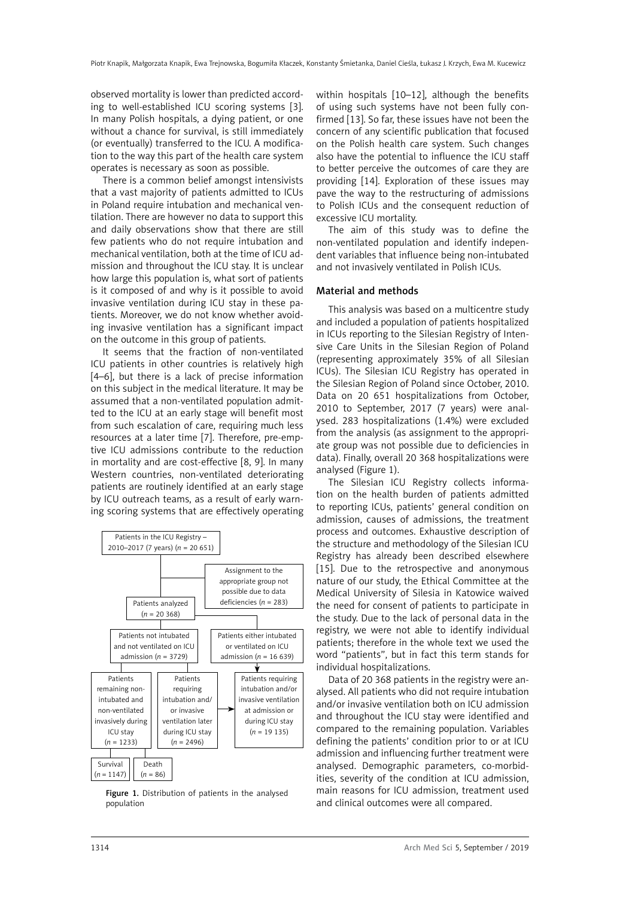observed mortality is lower than predicted according to well-established ICU scoring systems [3]. In many Polish hospitals, a dying patient, or one without a chance for survival, is still immediately (or eventually) transferred to the ICU. A modification to the way this part of the health care system operates is necessary as soon as possible.

There is a common belief amongst intensivists that a vast majority of patients admitted to ICUs in Poland require intubation and mechanical ventilation. There are however no data to support this and daily observations show that there are still few patients who do not require intubation and mechanical ventilation, both at the time of ICU admission and throughout the ICU stay. It is unclear how large this population is, what sort of patients is it composed of and why is it possible to avoid invasive ventilation during ICU stay in these patients. Moreover, we do not know whether avoiding invasive ventilation has a significant impact on the outcome in this group of patients.

It seems that the fraction of non-ventilated ICU patients in other countries is relatively high [4–6], but there is a lack of precise information on this subject in the medical literature. It may be assumed that a non-ventilated population admitted to the ICU at an early stage will benefit most from such escalation of care, requiring much less resources at a later time [7]. Therefore, pre-emptive ICU admissions contribute to the reduction in mortality and are cost-effective [8, 9]. In many Western countries, non-ventilated deteriorating patients are routinely identified at an early stage by ICU outreach teams, as a result of early warning scoring systems that are effectively operating



Figure 1. Distribution of patients in the analysed population

within hospitals [10–12], although the benefits of using such systems have not been fully confirmed [13]. So far, these issues have not been the concern of any scientific publication that focused on the Polish health care system. Such changes also have the potential to influence the ICU staff to better perceive the outcomes of care they are providing [14]. Exploration of these issues may pave the way to the restructuring of admissions to Polish ICUs and the consequent reduction of excessive ICU mortality.

The aim of this study was to define the non-ventilated population and identify independent variables that influence being non-intubated and not invasively ventilated in Polish ICUs.

## Material and methods

This analysis was based on a multicentre study and included a population of patients hospitalized in ICUs reporting to the Silesian Registry of Intensive Care Units in the Silesian Region of Poland (representing approximately 35% of all Silesian ICUs). The Silesian ICU Registry has operated in the Silesian Region of Poland since October, 2010. Data on 20 651 hospitalizations from October, 2010 to September, 2017 (7 years) were analysed. 283 hospitalizations (1.4%) were excluded from the analysis (as assignment to the appropriate group was not possible due to deficiencies in data). Finally, overall 20 368 hospitalizations were analysed (Figure 1).

The Silesian ICU Registry collects information on the health burden of patients admitted to reporting ICUs, patients' general condition on admission, causes of admissions, the treatment process and outcomes. Exhaustive description of the structure and methodology of the Silesian ICU Registry has already been described elsewhere [15]. Due to the retrospective and anonymous nature of our study, the Ethical Committee at the Medical University of Silesia in Katowice waived the need for consent of patients to participate in the study. Due to the lack of personal data in the registry, we were not able to identify individual patients; therefore in the whole text we used the word "patients", but in fact this term stands for individual hospitalizations.

Data of 20 368 patients in the registry were analysed. All patients who did not require intubation and/or invasive ventilation both on ICU admission and throughout the ICU stay were identified and compared to the remaining population. Variables defining the patients' condition prior to or at ICU admission and influencing further treatment were analysed. Demographic parameters, co-morbidities, severity of the condition at ICU admission, main reasons for ICU admission, treatment used and clinical outcomes were all compared.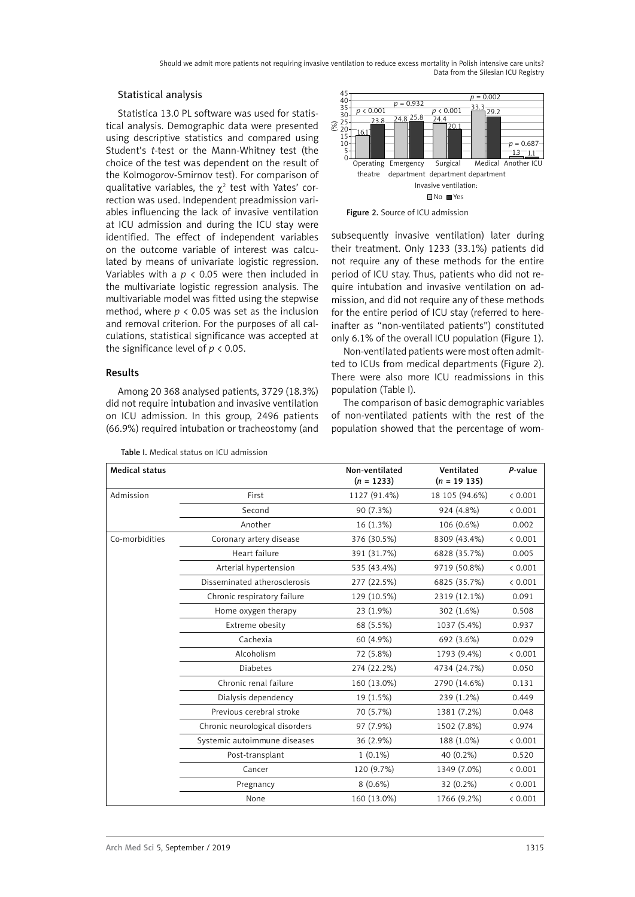Should we admit more patients not requiring invasive ventilation to reduce excess mortality in Polish intensive care units? Data from the Silesian ICU Registry

## Statistical analysis

Statistica 13.0 PL software was used for statistical analysis. Demographic data were presented using descriptive statistics and compared using Student's *t*-test or the Mann-Whitney test (the choice of the test was dependent on the result of the Kolmogorov-Smirnov test). For comparison of qualitative variables, the  $\chi^2$  test with Yates' correction was used. Independent preadmission variables influencing the lack of invasive ventilation at ICU admission and during the ICU stay were identified. The effect of independent variables on the outcome variable of interest was calculated by means of univariate logistic regression. Variables with a  $p < 0.05$  were then included in the multivariate logistic regression analysis. The multivariable model was fitted using the stepwise method, where *p* < 0.05 was set as the inclusion and removal criterion. For the purposes of all calculations, statistical significance was accepted at the significance level of  $p < 0.05$ .

# Results

Among 20 368 analysed patients, 3729 (18.3%) did not require intubation and invasive ventilation on ICU admission. In this group, 2496 patients (66.9%) required intubation or tracheostomy (and



subsequently invasive ventilation) later during their treatment. Only 1233 (33.1%) patients did not require any of these methods for the entire period of ICU stay. Thus, patients who did not require intubation and invasive ventilation on admission, and did not require any of these methods for the entire period of ICU stay (referred to hereinafter as "non-ventilated patients") constituted only 6.1% of the overall ICU population (Figure 1).

Non-ventilated patients were most often admitted to ICUs from medical departments (Figure 2). There were also more ICU readmissions in this population (Table I).

The comparison of basic demographic variables of non-ventilated patients with the rest of the population showed that the percentage of wom-

| <b>Medical status</b> |                                | Non-ventilated<br>$(n = 1233)$ | Ventilated<br>$(n = 19 135)$ | P-value |
|-----------------------|--------------------------------|--------------------------------|------------------------------|---------|
| Admission             | First                          | 1127 (91.4%)                   | 18 105 (94.6%)               | < 0.001 |
|                       | Second                         | 90 (7.3%)                      | 924 (4.8%)                   | < 0.001 |
|                       | Another                        | 16(1.3%)                       | 106 (0.6%)                   | 0.002   |
| Co-morbidities        | Coronary artery disease        | 376 (30.5%)                    | 8309 (43.4%)                 | < 0.001 |
|                       | Heart failure                  | 391 (31.7%)                    | 6828 (35.7%)                 | 0.005   |
|                       | Arterial hypertension          | 535 (43.4%)                    | 9719 (50.8%)                 | < 0.001 |
|                       | Disseminated atherosclerosis   | 277 (22.5%)                    | 6825 (35.7%)                 | < 0.001 |
|                       | Chronic respiratory failure    | 129 (10.5%)                    | 2319 (12.1%)                 | 0.091   |
|                       | Home oxygen therapy            | 23 (1.9%)                      | 302 (1.6%)                   | 0.508   |
|                       | Extreme obesity                | 68 (5.5%)                      | 1037 (5.4%)                  | 0.937   |
|                       | Cachexia                       | 60 (4.9%)                      | 692 (3.6%)                   | 0.029   |
|                       | Alcoholism                     | 72 (5.8%)                      | 1793 (9.4%)                  | < 0.001 |
|                       | <b>Diabetes</b>                | 274 (22.2%)                    | 4734 (24.7%)                 | 0.050   |
|                       | Chronic renal failure          | 160 (13.0%)                    | 2790 (14.6%)                 | 0.131   |
|                       | Dialysis dependency            | 19 (1.5%)                      | 239 (1.2%)                   | 0.449   |
|                       | Previous cerebral stroke       | 70 (5.7%)                      | 1381 (7.2%)                  | 0.048   |
|                       | Chronic neurological disorders | 97 (7.9%)                      | 1502 (7.8%)                  | 0.974   |
|                       | Systemic autoimmune diseases   | 36 (2.9%)                      | 188 (1.0%)                   | < 0.001 |
|                       | Post-transplant                | $1(0.1\%)$                     | 40 (0.2%)                    | 0.520   |
|                       | Cancer                         | 120 (9.7%)                     | 1349 (7.0%)                  | < 0.001 |
|                       | Pregnancy                      | $8(0.6\%)$                     | 32 (0.2%)                    | < 0.001 |
|                       | None                           | 160 (13.0%)                    | 1766 (9.2%)                  | & 0.001 |

Table I. Medical status on ICU admission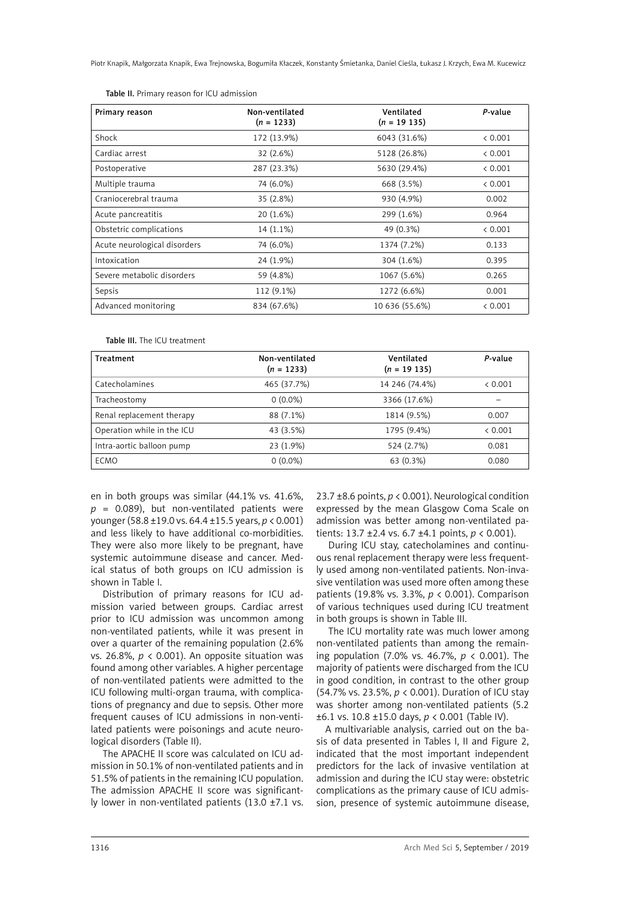Piotr Knapik, Małgorzata Knapik, Ewa Trejnowska, Bogumiła Kłaczek, Konstanty Śmietanka, Daniel Cieśla, Łukasz J. Krzych, Ewa M. Kucewicz

| Primary reason               | Non-ventilated<br>$(n = 1233)$ | Ventilated<br>$(n = 19 135)$ | P-value |
|------------------------------|--------------------------------|------------------------------|---------|
| Shock                        | 172 (13.9%)                    | 6043 (31.6%)                 | & 0.001 |
| Cardiac arrest               | 32 (2.6%)                      | 5128 (26.8%)                 | < 0.001 |
| Postoperative                | 287 (23.3%)                    | 5630 (29.4%)                 | < 0.001 |
| Multiple trauma              | 74 (6.0%)                      | 668 (3.5%)                   | < 0.001 |
| Craniocerebral trauma        | 35 (2.8%)                      | 930 (4.9%)                   | 0.002   |
| Acute pancreatitis           | 20 (1.6%)                      | 299 (1.6%)                   | 0.964   |
| Obstetric complications      | 14 (1.1%)                      | 49 (0.3%)                    | < 0.001 |
| Acute neurological disorders | 74 (6.0%)                      | 1374 (7.2%)                  | 0.133   |
| Intoxication                 | 24 (1.9%)                      | 304 (1.6%)                   | 0.395   |
| Severe metabolic disorders   | 59 (4.8%)                      | 1067 (5.6%)                  | 0.265   |
| Sepsis                       | 112 (9.1%)                     | 1272 (6.6%)<br>0.001         |         |
| Advanced monitoring          | 834 (67.6%)                    | 10 636 (55.6%)               | & 0.001 |

#### Table II. Primary reason for ICU admission

Table III. The ICU treatment

| Treatment                  | Non-ventilated<br>$(n = 1233)$ | Ventilated<br>$(n = 19 135)$ | P-value |
|----------------------------|--------------------------------|------------------------------|---------|
| Catecholamines             | 465 (37.7%)                    | 14 246 (74.4%)               | & 0.001 |
| Tracheostomy               | $0(0.0\%)$                     | 3366 (17.6%)                 |         |
| Renal replacement therapy  | 88 (7.1%)                      | 1814 (9.5%)                  | 0.007   |
| Operation while in the ICU | 43 (3.5%)                      | 1795 (9.4%)                  | & 0.001 |
| Intra-aortic balloon pump  | 23 (1.9%)                      | 524 (2.7%)                   | 0.081   |
| ECMO                       | $0(0.0\%)$                     | 63 (0.3%)                    | 0.080   |

en in both groups was similar (44.1% vs. 41.6%, *p* = 0.089), but non-ventilated patients were younger (58.8 ±19.0 vs. 64.4 ±15.5 years, *p* < 0.001) and less likely to have additional co-morbidities. They were also more likely to be pregnant, have systemic autoimmune disease and cancer. Medical status of both groups on ICU admission is shown in Table I.

Distribution of primary reasons for ICU admission varied between groups. Cardiac arrest prior to ICU admission was uncommon among non-ventilated patients, while it was present in over a quarter of the remaining population (2.6% vs. 26.8%, *p* < 0.001). An opposite situation was found among other variables. A higher percentage of non-ventilated patients were admitted to the ICU following multi-organ trauma, with complications of pregnancy and due to sepsis. Other more frequent causes of ICU admissions in non-ventilated patients were poisonings and acute neurological disorders (Table II).

The APACHE II score was calculated on ICU admission in 50.1% of non-ventilated patients and in 51.5% of patients in the remaining ICU population. The admission APACHE II score was significantly lower in non-ventilated patients  $(13.0 \pm 7.1 \text{ vs.})$ 

23.7  $\pm$ 8.6 points,  $p < 0.001$ ). Neurological condition expressed by the mean Glasgow Coma Scale on admission was better among non-ventilated patients: 13.7 ±2.4 vs. 6.7 ±4.1 points, *p* < 0.001).

During ICU stay, catecholamines and continuous renal replacement therapy were less frequently used among non-ventilated patients. Non-invasive ventilation was used more often among these patients (19.8% vs. 3.3%, *p* < 0.001). Comparison of various techniques used during ICU treatment in both groups is shown in Table III.

The ICU mortality rate was much lower among non-ventilated patients than among the remaining population (7.0% vs. 46.7%, *p* < 0.001). The majority of patients were discharged from the ICU in good condition, in contrast to the other group (54.7% vs. 23.5%, *p* < 0.001). Duration of ICU stay was shorter among non-ventilated patients (5.2 ±6.1 vs. 10.8 ±15.0 days, *p* < 0.001 (Table IV).

A multivariable analysis, carried out on the basis of data presented in Tables I, II and Figure 2, indicated that the most important independent predictors for the lack of invasive ventilation at admission and during the ICU stay were: obstetric complications as the primary cause of ICU admission, presence of systemic autoimmune disease,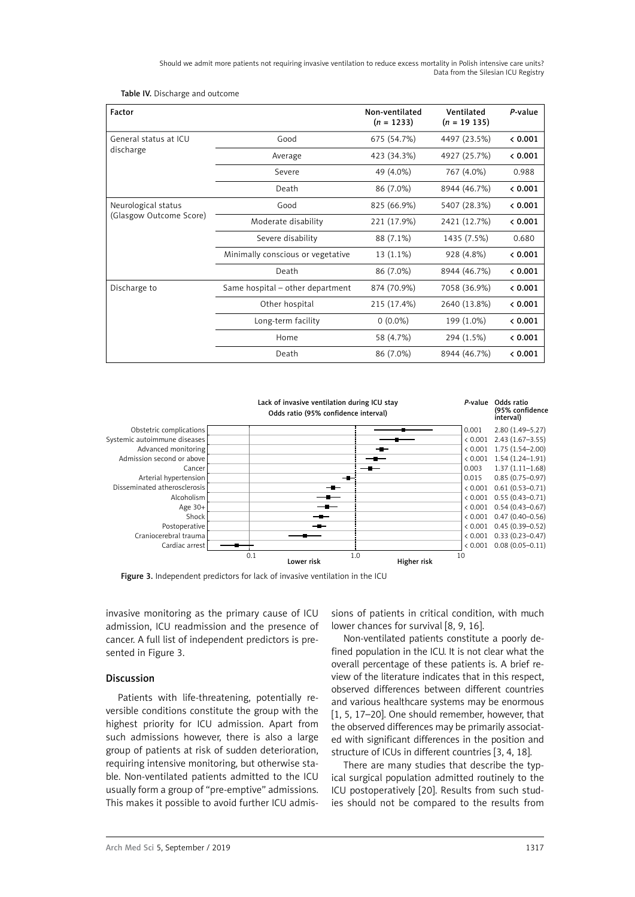Should we admit more patients not requiring invasive ventilation to reduce excess mortality in Polish intensive care units? Data from the Silesian ICU Registry

| Factor                  |                                   | Non-ventilated<br>$(n = 1233)$ | Ventilated<br>$(n = 19135)$ | P-value |
|-------------------------|-----------------------------------|--------------------------------|-----------------------------|---------|
| General status at ICU   | Good                              | 675 (54.7%)                    | 4497 (23.5%)                | 0.001   |
| discharge               | Average                           | 423 (34.3%)                    | 4927 (25.7%)                | 0.001   |
|                         | Severe                            | 49 (4.0%)                      | 767 (4.0%)                  | 0.988   |
|                         | Death                             | 86 (7.0%)                      | 8944 (46.7%)                | 0.001   |
| Neurological status     | Good                              | 825 (66.9%)                    | 5407 (28.3%)                | 0.001   |
| (Glasgow Outcome Score) | Moderate disability               | 221 (17.9%)                    | 2421 (12.7%)                | 0.001   |
|                         | Severe disability                 | 88 (7.1%)                      | 1435 (7.5%)                 | 0.680   |
|                         | Minimally conscious or vegetative | 13 (1.1%)                      | 928 (4.8%)                  | 0.001   |
|                         | Death                             | 86 (7.0%)                      | 8944 (46.7%)                | 0.001   |
| Discharge to            | Same hospital – other department  | 874 (70.9%)                    | 7058 (36.9%)                | 0.001   |
|                         | Other hospital                    | 215 (17.4%)                    | 2640 (13.8%)                | 0.001   |
|                         | Long-term facility                | $0(0.0\%)$                     | 199 (1.0%)                  | 0.001   |
|                         | Home                              | 58 (4.7%)                      | 294 (1.5%)                  | 0.001   |
|                         | Death                             | 86 (7.0%)                      | 8944 (46.7%)                | 0.001   |

Table IV. Discharge and outcome



Figure 3. Independent predictors for lack of invasive ventilation in the ICU

invasive monitoring as the primary cause of ICU admission, ICU readmission and the presence of cancer. A full list of independent predictors is presented in Figure 3.

# Discussion

Patients with life-threatening, potentially reversible conditions constitute the group with the highest priority for ICU admission. Apart from such admissions however, there is also a large group of patients at risk of sudden deterioration, requiring intensive monitoring, but otherwise stable. Non-ventilated patients admitted to the ICU usually form a group of "pre-emptive" admissions. This makes it possible to avoid further ICU admis-

sions of patients in critical condition, with much lower chances for survival [8, 9, 16].

Non-ventilated patients constitute a poorly defined population in the ICU. It is not clear what the overall percentage of these patients is. A brief review of the literature indicates that in this respect, observed differences between different countries and various healthcare systems may be enormous [1, 5, 17–20]. One should remember, however, that the observed differences may be primarily associated with significant differences in the position and structure of ICUs in different countries [3, 4, 18].

There are many studies that describe the typical surgical population admitted routinely to the ICU postoperatively [20]. Results from such studies should not be compared to the results from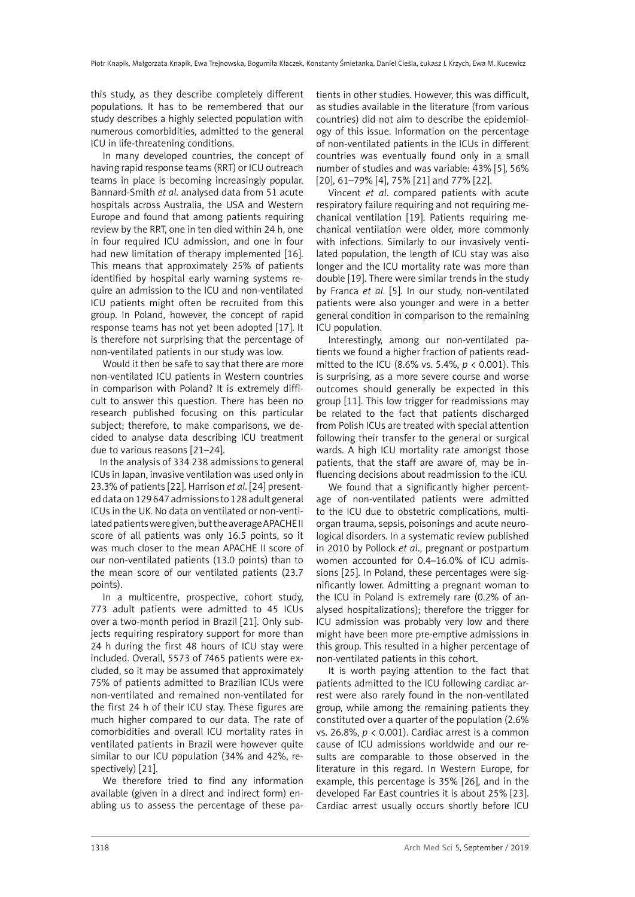this study, as they describe completely different populations. It has to be remembered that our study describes a highly selected population with numerous comorbidities, admitted to the general ICU in life-threatening conditions.

In many developed countries, the concept of having rapid response teams (RRT) or ICU outreach teams in place is becoming increasingly popular. Bannard-Smith *et al*. analysed data from 51 acute hospitals across Australia, the USA and Western Europe and found that among patients requiring review by the RRT, one in ten died within 24 h, one in four required ICU admission, and one in four had new limitation of therapy implemented [16]. This means that approximately 25% of patients identified by hospital early warning systems require an admission to the ICU and non-ventilated ICU patients might often be recruited from this group. In Poland, however, the concept of rapid response teams has not yet been adopted [17]. It is therefore not surprising that the percentage of non-ventilated patients in our study was low.

Would it then be safe to say that there are more non-ventilated ICU patients in Western countries in comparison with Poland? It is extremely difficult to answer this question. There has been no research published focusing on this particular subject; therefore, to make comparisons, we decided to analyse data describing ICU treatment due to various reasons [21–24].

In the analysis of 334 238 admissions to general ICUs in Japan, invasive ventilation was used only in 23.3% of patients [22]. Harrison *et al*. [24] presented data on 129 647 admissions to 128 adult general ICUs in the UK. No data on ventilated or non-ventilated patients were given, but the average APACHE II score of all patients was only 16.5 points, so it was much closer to the mean APACHE II score of our non-ventilated patients (13.0 points) than to the mean score of our ventilated patients (23.7 points).

In a multicentre, prospective, cohort study, 773 adult patients were admitted to 45 ICUs over a two-month period in Brazil [21]. Only subjects requiring respiratory support for more than 24 h during the first 48 hours of ICU stay were included. Overall, 5573 of 7465 patients were excluded, so it may be assumed that approximately 75% of patients admitted to Brazilian ICUs were non-ventilated and remained non-ventilated for the first 24 h of their ICU stay. These figures are much higher compared to our data. The rate of comorbidities and overall ICU mortality rates in ventilated patients in Brazil were however quite similar to our ICU population (34% and 42%, respectively) [21].

We therefore tried to find any information available (given in a direct and indirect form) enabling us to assess the percentage of these patients in other studies. However, this was difficult, as studies available in the literature (from various countries) did not aim to describe the epidemiology of this issue. Information on the percentage of non-ventilated patients in the ICUs in different countries was eventually found only in a small number of studies and was variable: 43% [5], 56% [20], 61–79% [4], 75% [21] and 77% [22].

Vincent *et al*. compared patients with acute respiratory failure requiring and not requiring mechanical ventilation [19]. Patients requiring mechanical ventilation were older, more commonly with infections. Similarly to our invasively ventilated population, the length of ICU stay was also longer and the ICU mortality rate was more than double [19]. There were similar trends in the study by Franca *et al*. [5]. In our study, non-ventilated patients were also younger and were in a better general condition in comparison to the remaining ICU population.

Interestingly, among our non-ventilated patients we found a higher fraction of patients readmitted to the ICU (8.6% vs. 5.4%, *p* < 0.001). This is surprising, as a more severe course and worse outcomes should generally be expected in this group [11]. This low trigger for readmissions may be related to the fact that patients discharged from Polish ICUs are treated with special attention following their transfer to the general or surgical wards. A high ICU mortality rate amongst those patients, that the staff are aware of, may be influencing decisions about readmission to the ICU.

We found that a significantly higher percentage of non-ventilated patients were admitted to the ICU due to obstetric complications, multiorgan trauma, sepsis, poisonings and acute neurological disorders. In a systematic review published in 2010 by Pollock *et al*., pregnant or postpartum women accounted for 0.4–16.0% of ICU admissions [25]. In Poland, these percentages were significantly lower. Admitting a pregnant woman to the ICU in Poland is extremely rare (0.2% of analysed hospitalizations); therefore the trigger for ICU admission was probably very low and there might have been more pre-emptive admissions in this group. This resulted in a higher percentage of non-ventilated patients in this cohort.

It is worth paying attention to the fact that patients admitted to the ICU following cardiac arrest were also rarely found in the non-ventilated group, while among the remaining patients they constituted over a quarter of the population (2.6% vs. 26.8%, *p* < 0.001). Cardiac arrest is a common cause of ICU admissions worldwide and our results are comparable to those observed in the literature in this regard. In Western Europe, for example, this percentage is 35% [26], and in the developed Far East countries it is about 25% [23]. Cardiac arrest usually occurs shortly before ICU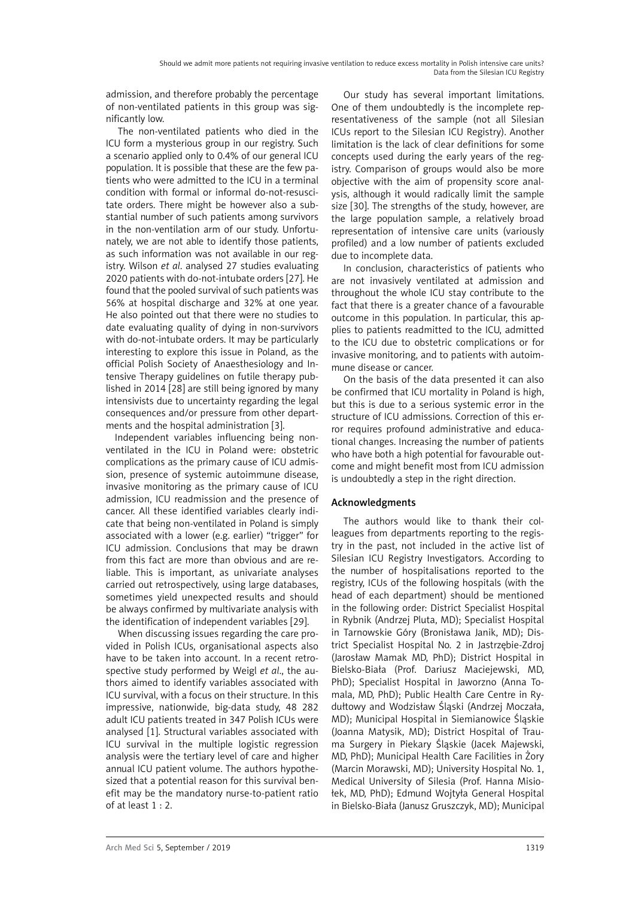admission, and therefore probably the percentage of non-ventilated patients in this group was significantly low.

The non-ventilated patients who died in the ICU form a mysterious group in our registry. Such a scenario applied only to 0.4% of our general ICU population. It is possible that these are the few patients who were admitted to the ICU in a terminal condition with formal or informal do-not-resuscitate orders. There might be however also a substantial number of such patients among survivors in the non-ventilation arm of our study. Unfortunately, we are not able to identify those patients, as such information was not available in our registry. Wilson *et al*. analysed 27 studies evaluating 2020 patients with do-not-intubate orders [27]. He found that the pooled survival of such patients was 56% at hospital discharge and 32% at one year. He also pointed out that there were no studies to date evaluating quality of dying in non-survivors with do-not-intubate orders. It may be particularly interesting to explore this issue in Poland, as the official Polish Society of Anaesthesiology and Intensive Therapy guidelines on futile therapy published in 2014 [28] are still being ignored by many intensivists due to uncertainty regarding the legal consequences and/or pressure from other departments and the hospital administration [3].

Independent variables influencing being nonventilated in the ICU in Poland were: obstetric complications as the primary cause of ICU admission, presence of systemic autoimmune disease, invasive monitoring as the primary cause of ICU admission, ICU readmission and the presence of cancer. All these identified variables clearly indicate that being non-ventilated in Poland is simply associated with a lower (e.g. earlier) "trigger" for ICU admission. Conclusions that may be drawn from this fact are more than obvious and are reliable. This is important, as univariate analyses carried out retrospectively, using large databases, sometimes yield unexpected results and should be always confirmed by multivariate analysis with the identification of independent variables [29].

When discussing issues regarding the care provided in Polish ICUs, organisational aspects also have to be taken into account. In a recent retrospective study performed by Weigl *et al*., the authors aimed to identify variables associated with ICU survival, with a focus on their structure. In this impressive, nationwide, big-data study, 48 282 adult ICU patients treated in 347 Polish ICUs were analysed [1]. Structural variables associated with ICU survival in the multiple logistic regression analysis were the tertiary level of care and higher annual ICU patient volume. The authors hypothesized that a potential reason for this survival benefit may be the mandatory nurse-to-patient ratio of at least 1 : 2.

Our study has several important limitations. One of them undoubtedly is the incomplete representativeness of the sample (not all Silesian ICUs report to the Silesian ICU Registry). Another limitation is the lack of clear definitions for some concepts used during the early years of the registry. Comparison of groups would also be more objective with the aim of propensity score analysis, although it would radically limit the sample size [30]. The strengths of the study, however, are the large population sample, a relatively broad representation of intensive care units (variously profiled) and a low number of patients excluded due to incomplete data.

In conclusion, characteristics of patients who are not invasively ventilated at admission and throughout the whole ICU stay contribute to the fact that there is a greater chance of a favourable outcome in this population. In particular, this applies to patients readmitted to the ICU, admitted to the ICU due to obstetric complications or for invasive monitoring, and to patients with autoimmune disease or cancer.

On the basis of the data presented it can also be confirmed that ICU mortality in Poland is high, but this is due to a serious systemic error in the structure of ICU admissions. Correction of this error requires profound administrative and educational changes. Increasing the number of patients who have both a high potential for favourable outcome and might benefit most from ICU admission is undoubtedly a step in the right direction.

# Acknowledgments

The authors would like to thank their colleagues from departments reporting to the registry in the past, not included in the active list of Silesian ICU Registry Investigators. According to the number of hospitalisations reported to the registry, ICUs of the following hospitals (with the head of each department) should be mentioned in the following order: District Specialist Hospital in Rybnik (Andrzej Pluta, MD); Specialist Hospital in Tarnowskie Góry (Bronisława Janik, MD); District Specialist Hospital No. 2 in Jastrzębie-Zdroj (Jarosław Mamak MD, PhD); District Hospital in Bielsko-Biała (Prof. Dariusz Maciejewski, MD, PhD); Specialist Hospital in Jaworzno (Anna Tomala, MD, PhD); Public Health Care Centre in Rydułtowy and Wodzisław Śląski (Andrzej Moczała, MD); Municipal Hospital in Siemianowice Śląskie (Joanna Matysik, MD); District Hospital of Trauma Surgery in Piekary Śląskie (Jacek Majewski, MD, PhD); Municipal Health Care Facilities in Żory (Marcin Morawski, MD); University Hospital No. 1, Medical University of Silesia (Prof. Hanna Misiołek, MD, PhD); Edmund Wojtyła General Hospital in Bielsko-Biała (Janusz Gruszczyk, MD); Municipal